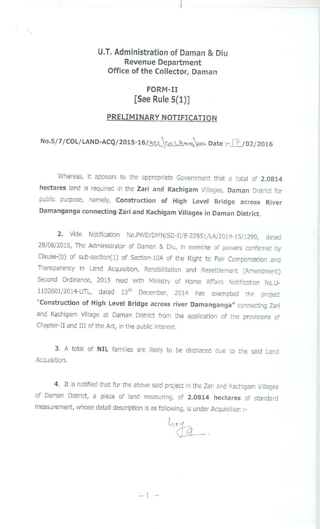## **U.T. Administration of Daman & Diu Revenue Department Office of the Collector, Daman**

## **FORM-II [See Rule 5(1)]**

## **PRELIMINARY NOTIFICATION**

## **No.5/7**/ **COL/LAND**-**ACQ/2015** -16/3^Z,^Co^LBM^^o^^ **Date** :- i "` / **02/2016**

Whereas, it appears to the appropriate Government that a total of 2.0814 **hectares** land is required in the **Zari and Kachigam** Villages, **Daman** District for public purpose, namely, **Construction of High Level Bridge across River Damanganga connecting Zari and Kachigam Villages in Daman District.**

2. Vide Notification No.PWD/DMN/SD-II/E-22851/LA/2014-15/1290, dated 28/08/2015, The Administrator of Daman & Diu, in exercise of powers conferred by Clause-(b) of sub-section(1) of Section-10A of the Right to Fair Compensation and Transparency in Land Acquisition, Rehabilitation and Resettlement (Amendment) Second Ordinance, 2015 read with Ministry of Home Affairs Notification No.U-1102601/2014-UTL, dated 15'h December, 2014 has exempted the project **"Construction of High Level Bridge across river Damanganga** " connecting Zari and Kachigam Village at Daman District from the application of the provisions of Chapter-II and III of the Act, in the public interest.

3. A total **of NIL** families are likely to be displaced due to the said Land Acquisition.

4. It is notified that for the above said project in the Zari and Kachigam Villages of Daman District, a piece of land measuring, **of 2.0814 hectares** of standard measurement, whose detail description is as following, is under Acquisition :-

 $104$ .

 $=$   $\sim$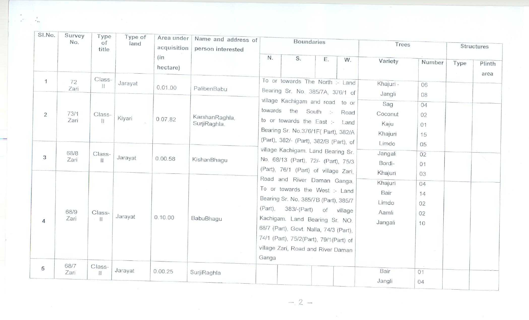| SI.No.            | Survey<br>No.                      | Type<br>of<br>title                             | Type of<br>land   | Area under<br>acquisition<br>(in<br>hectare) | Name and address of<br>person interested      |                                                                                                                                                                                                                                                                                        | <b>Boundaries</b>                                                                                                                                                                                                                                                 |                                   |                      | Trees                                                                        |                                              | Structures |                |
|-------------------|------------------------------------|-------------------------------------------------|-------------------|----------------------------------------------|-----------------------------------------------|----------------------------------------------------------------------------------------------------------------------------------------------------------------------------------------------------------------------------------------------------------------------------------------|-------------------------------------------------------------------------------------------------------------------------------------------------------------------------------------------------------------------------------------------------------------------|-----------------------------------|----------------------|------------------------------------------------------------------------------|----------------------------------------------|------------|----------------|
|                   |                                    |                                                 |                   |                                              |                                               | N.                                                                                                                                                                                                                                                                                     | S.                                                                                                                                                                                                                                                                | Ε.                                | W.<br>Part of        | Variety                                                                      | Number                                       | Type       | Plinth<br>area |
| $\mathbf{1}$<br>2 | 72<br>Zari<br>73/1<br>Zari<br>68/8 | Class-<br>П<br>Class-<br>$\mathbb{H}$<br>Class- | Jarayat<br>Kiyari | 0.01.00<br>0.07.82                           | PalibenBabu<br>KarshanRaghla.<br>SurjiRaghla. | towards                                                                                                                                                                                                                                                                                | To or towards The North :- Land<br>Bearing Sr. No. 385/7A, 376/1 of<br>village Kachigam and road to or<br>the<br>to or towards the East :-<br>Bearing Sr. No.376/1F( Part), 382/A<br>(Part), 382/- (Part), 382/B (Part), of<br>village Kachigam. Land Bearing Sr. | South :-                          | Road<br>Land         | Khajuri -<br>Jangli<br>Sag<br>Coconut<br>Kaju<br>Khajuri<br>Limdo<br>Jangali | 06<br>08<br>04<br>02<br>01<br>15<br>05<br>02 |            |                |
| 3                 | Zari                               | $\mathbf{H}$                                    | Jarayat           | 0.00.58                                      | KishanBhagu                                   |                                                                                                                                                                                                                                                                                        | No. 68/13 (Part), 72/- (Part), 75/3<br>(Part), 76/1 (Part) of village Zari,<br>Road and River Daman Ganga.                                                                                                                                                        |                                   |                      | Bordi-<br>Khajuri<br>Khajuri                                                 | 01<br>03<br>04                               |            |                |
| $\overline{4}$    | 68/9<br>Zari                       | Class-<br>$+$ H                                 | Jarayat           | 0.10.00                                      | BabuBhaqu                                     | To or towards the West :- Land<br>Bearing Sr. No. 385/7B (Part), 385/7<br>(Part),<br>383/-(Part)<br>of<br>village<br>Kachigam. Land Bearing Sr. NO.<br>68/7 (Part), Govt. Nalla, 74/3 (Part),<br>74/1 (Part), 75/2(Part), 79/1(Part) of<br>village Zari, Road and River Daman<br>Ganga |                                                                                                                                                                                                                                                                   | Bair<br>Limdo<br>Aamli<br>Jangali | 14<br>02<br>02<br>10 |                                                                              |                                              |            |                |
| 5                 | 68/7<br>Zari                       | Class-<br>$\mathbf{H}$                          | Jarayat           | 0.00.25                                      | SurjiRaghla                                   |                                                                                                                                                                                                                                                                                        |                                                                                                                                                                                                                                                                   |                                   |                      | Bair<br>Jangli                                                               | 01<br>04                                     |            |                |

 $-2 -$ 

 $\frac{1}{n_{\rm BH}}$  $\mathbf{w}^{\text{max}}$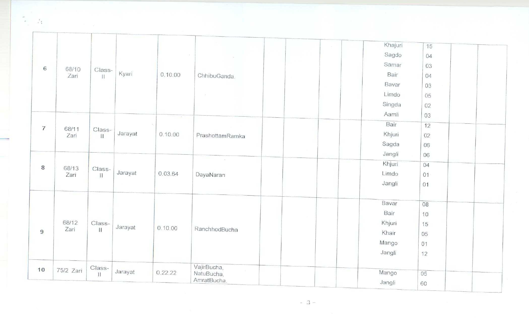|                |               |                        |         |               |                            | Khajuri<br>15 |
|----------------|---------------|------------------------|---------|---------------|----------------------------|---------------|
|                |               |                        |         |               |                            | Sagdo<br>04   |
| 6              |               |                        |         |               |                            | Samar<br>03   |
|                | 68/10<br>Zari | Class-<br>Ħ            | Kyari   | 0.10.00       | ChhibuGanda.               | Bair<br>04    |
|                |               |                        |         |               |                            | Bavar<br>03   |
|                |               |                        |         |               |                            | Limdo<br>05   |
|                |               |                        |         |               |                            | Singda<br>02  |
|                |               |                        |         | $\mathcal{C}$ |                            | Aamli<br>03   |
| $\overline{7}$ |               |                        |         | 0.10.00       |                            | Bair<br>12    |
|                | 68/11<br>Zari | Class-<br>$\mathbf{H}$ | Jarayat |               | PrashottamRamka            | Khjuri<br>02  |
|                |               |                        |         |               |                            | Sagda<br>06   |
|                |               |                        |         |               |                            | Jangli<br>06  |
| 8              | 68/13         | Class-<br>$\mathbf{H}$ |         |               |                            | Khjuri<br>04  |
|                | Zari          |                        | Jarayat | 0.03.64       | DayaNaran                  | Limdo<br>01   |
|                |               |                        |         |               |                            | Jangli<br>01  |
|                |               |                        |         |               |                            |               |
|                |               | Class-                 |         |               |                            | Bavar<br>08   |
|                |               |                        |         |               |                            | Bair<br>10    |
|                | 68/12         |                        | Jarayat | 0.10.00       | RanchhodBucha              | Khjuri<br>15  |
| 9              | Zari          | $\mathbf{H}$           |         |               |                            | Khair<br>05   |
|                |               |                        |         |               |                            | Mango<br>01   |
|                |               |                        |         |               |                            | Jangli<br>12  |
|                |               | Class-                 |         |               | VajirBucha,                |               |
| 10             | 75/2 Zari     | $\mathbf{H}$           | Jarayat | 0.22.22       | <b>Allen</b><br>NatuBucha, | Mango<br>05   |
|                |               |                        |         |               | AmratBucha.                | Jangli<br>60  |

 $\sim$  3  $-$ 

 $\frac{4}{16}$ 

 $\mu$  .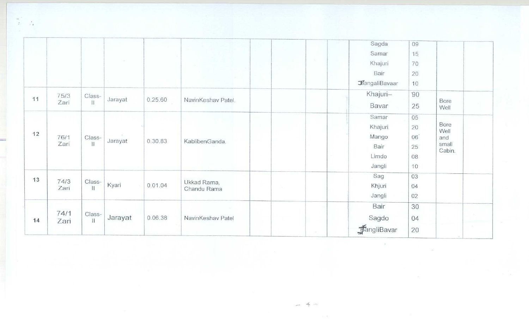|    |              |                         |         |         |                            | $\sim$      | Sagda<br>Samar<br>Khajuri<br>Bair<br>BangaliBavaar   | 09<br>15<br>70<br>20<br>10       |                                        |
|----|--------------|-------------------------|---------|---------|----------------------------|-------------|------------------------------------------------------|----------------------------------|----------------------------------------|
| 11 | 75/3<br>Zari | Class-<br>$\mathbf{H}$  | Jarayat | 0.25.60 | NavinKeshav Patel.         |             | Khajuri-<br>Bavar                                    | 90<br>25                         | Bore<br>Well                           |
| 12 | 76/1<br>Zari | Class-<br>$\mathbf{11}$ | Jarayat | 0.30.83 | KablibenGanda.             |             | Samar<br>Khajuri<br>Mango<br>Bair<br>Limdo<br>Jangli | 05<br>20<br>06<br>25<br>08<br>10 | Bore<br>Well<br>and<br>small<br>Cabin. |
| 13 | 74/3<br>Zari | Class-<br>$\mathbf{H}$  | Kyari   | 0.01.04 | Ukkad Rama,<br>Chandu Rama | <b>CONT</b> | Sag<br>Khjuri<br>Jangli                              | 03<br>04<br>02                   |                                        |
| 14 | 74/1<br>Zari | Class-<br>$\prod$       | Jarayat | 0.06.38 | NavinKeshav Patel          |             | Bair<br>Sagdo<br><b>F</b> angliBavar                 | 30<br>04<br>20                   |                                        |

 $\frac{m^2}{L} = \frac{1}{2} \frac{1}{L} \frac{1}{m}$ 

 $-4-$ 

 $\mathcal{R}^{\pm}$ 

一定

 $\overline{\mathcal{M}}$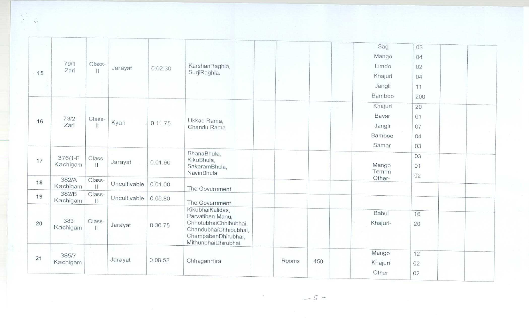|    |                     |                        |              |         |                                                                                                                                       |       |     | Sag<br>Mango      | 03<br>04       |  |
|----|---------------------|------------------------|--------------|---------|---------------------------------------------------------------------------------------------------------------------------------------|-------|-----|-------------------|----------------|--|
| 15 | 79/1                | Class-                 | Jarayat      | 0.02.30 | KarshanRaghla,                                                                                                                        |       |     | Limdo             | 02             |  |
|    | Zari                | $\vert$                |              |         | SurjiRaghla.                                                                                                                          |       |     | Khajuri           | 04             |  |
|    |                     |                        |              |         |                                                                                                                                       |       |     | Jangli            | 11             |  |
|    |                     |                        |              |         |                                                                                                                                       |       |     | Bamboo            | 200            |  |
|    |                     |                        |              |         |                                                                                                                                       |       |     | Khajuri           | 20             |  |
| 16 | 73/2                | Class-<br>$\mathbb{I}$ | Kyari        |         | Ukkad Rama,                                                                                                                           |       |     | Bavar             | 01             |  |
|    | Zari                |                        |              | 0.11.75 | Chandu Rama                                                                                                                           |       |     | Jangli            | 07             |  |
|    |                     |                        |              |         |                                                                                                                                       |       |     | Bamboo            | 04             |  |
|    |                     |                        |              |         |                                                                                                                                       |       |     | Samar             | 03             |  |
| 17 | 376/1-F<br>Kachigam | Class-<br>$\mathbf{H}$ | Jarayat      | 0.01.90 | BhanaBhula,<br>KikuBhula,<br>SakaramBhula,<br>NavinBhula                                                                              |       |     | Mango<br>Temrin   | 03<br>01<br>02 |  |
| 18 | 382/A<br>Kachigam   | Class-<br>$\mathbf{H}$ | Uncultivable | 0.01.00 | The Government                                                                                                                        |       |     | Other-            |                |  |
| 19 | 382/B<br>Kachigam   | Class-<br>$\mathbf{H}$ | Uncultivable | 0.05.80 | The Government                                                                                                                        |       |     |                   |                |  |
| 20 | 383<br>Kachigam     | Class-<br>$\mathbb{H}$ | Jarayat      | 0.30.75 | KikubhaiKalidas,<br>Parvatiben Manu,<br>ChhotubhaiChhibubhai,<br>ChandubhaiChhibubhai,<br>ChampabenDhirubhai,<br>MithunbhaiDhirubhai. |       |     | Babul<br>Khajuri- | 16<br>20       |  |
| 21 | 385/7               |                        |              |         |                                                                                                                                       |       |     | Mango             | 12             |  |
|    | Kachigam            |                        | Jarayat      | 0.08.52 | ChhaganHira                                                                                                                           | Rooms | 450 | Khajuri           | 02             |  |
|    |                     |                        |              |         |                                                                                                                                       |       |     | Other             | 02             |  |

 $\begin{array}{cc} \frac{\partial \mathcal{L}_{\mathcal{A}}}{\partial \mathcal{L}_{\mathcal{A}}}&\mathcal{L}_{\mathcal{A}}\\ \frac{\partial \mathcal{L}_{\mathcal{A}}}{\partial \mathcal{L}_{\mathcal{A}}}&\frac{\partial \mathcal{L}_{\mathcal{A}}}{\partial \mathcal{L}_{\mathcal{A}}}\end{array}$ 

 $-5 -$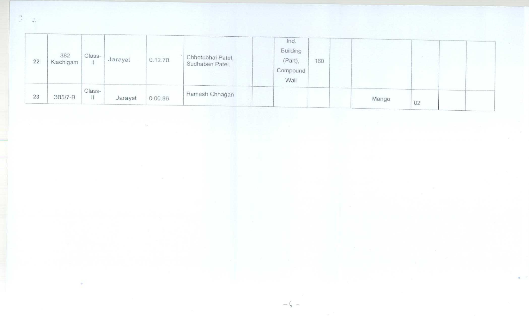| 22 | 382<br>Kachigam | Class-<br>11 | Jarayat | 0.12.70 | Chhotubhai Patel,<br>Sudhaben Patel. | Ind.<br>Building<br>(Part),<br>Compound<br>Wall | 160 |       |    |  |
|----|-----------------|--------------|---------|---------|--------------------------------------|-------------------------------------------------|-----|-------|----|--|
| 23 | 385/7-B         | Class-       | Jarayat | 0.00.86 | Ramesh Chhagan                       |                                                 |     | Mango | 02 |  |

 $-6 -$ 

 $\frac{1}{2}$ 

÷.

 $\frac{\partial}{\partial t} \left( \frac{\partial}{\partial x} \right) = \frac{\partial}{\partial x} \, .$